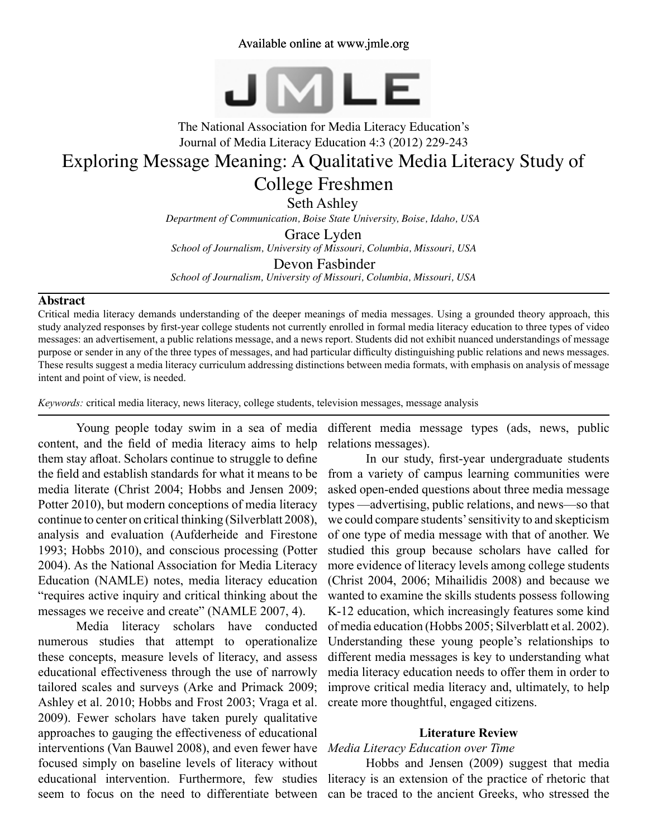## Available online at www.jmle.org



# The National Association for Media Literacy Education's Journal of Media Literacy Education 4:3 (2012) 229-243 Exploring Message Meaning: A Qualitative Media Literacy Study of

# College Freshmen

Seth Ashley

*Department of Communication, Boise State University, Boise, Idaho, USA*

Grace Lyden *School of Journalism, University of Missouri, Columbia, Missouri, USA*

Devon Fasbinder *School of Journalism, University of Missouri, Columbia, Missouri, USA*

#### **Abstract**

Critical media literacy demands understanding of the deeper meanings of media messages. Using a grounded theory approach, this study analyzed responses by first-year college students not currently enrolled in formal media literacy education to three types of video messages: an advertisement, a public relations message, and a news report. Students did not exhibit nuanced understandings of message purpose or sender in any of the three types of messages, and had particular difficulty distinguishing public relations and news messages. These results suggest a media literacy curriculum addressing distinctions between media formats, with emphasis on analysis of message intent and point of view, is needed.

*Keywords:* critical media literacy, news literacy, college students, television messages, message analysis

Young people today swim in a sea of media content, and the field of media literacy aims to help them stay afloat. Scholars continue to struggle to define the field and establish standards for what it means to be media literate (Christ 2004; Hobbs and Jensen 2009; Potter 2010), but modern conceptions of media literacy continue to center on critical thinking (Silverblatt 2008), analysis and evaluation (Aufderheide and Firestone 1993; Hobbs 2010), and conscious processing (Potter 2004). As the National Association for Media Literacy Education (NAMLE) notes, media literacy education "requires active inquiry and critical thinking about the messages we receive and create" (NAMLE 2007, 4).

Media literacy scholars have conducted numerous studies that attempt to operationalize these concepts, measure levels of literacy, and assess educational effectiveness through the use of narrowly tailored scales and surveys (Arke and Primack 2009; Ashley et al. 2010; Hobbs and Frost 2003; Vraga et al. 2009). Fewer scholars have taken purely qualitative approaches to gauging the effectiveness of educational interventions (Van Bauwel 2008), and even fewer have focused simply on baseline levels of literacy without educational intervention. Furthermore, few studies seem to focus on the need to differentiate between

different media message types (ads, news, public relations messages).

In our study, first-year undergraduate students from a variety of campus learning communities were asked open-ended questions about three media message types —advertising, public relations, and news—so that we could compare students' sensitivity to and skepticism of one type of media message with that of another. We studied this group because scholars have called for more evidence of literacy levels among college students (Christ 2004, 2006; Mihailidis 2008) and because we wanted to examine the skills students possess following K-12 education, which increasingly features some kind of media education (Hobbs 2005; Silverblatt et al. 2002). Understanding these young people's relationships to different media messages is key to understanding what media literacy education needs to offer them in order to improve critical media literacy and, ultimately, to help create more thoughtful, engaged citizens.

### **Literature Review**

#### *Media Literacy Education over Time*

Hobbs and Jensen (2009) suggest that media literacy is an extension of the practice of rhetoric that can be traced to the ancient Greeks, who stressed the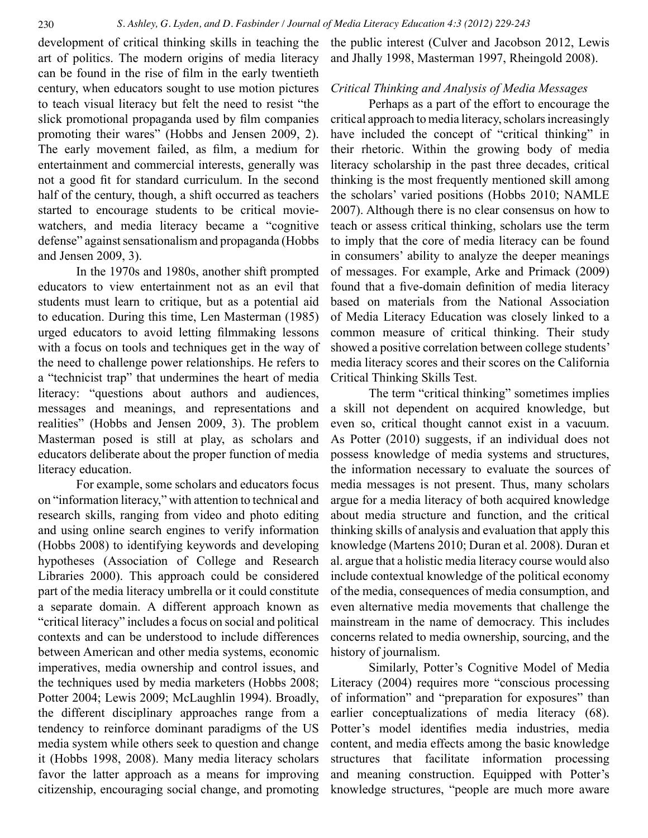development of critical thinking skills in teaching the art of politics. The modern origins of media literacy can be found in the rise of film in the early twentieth century, when educators sought to use motion pictures to teach visual literacy but felt the need to resist "the slick promotional propaganda used by film companies promoting their wares" (Hobbs and Jensen 2009, 2). The early movement failed, as film, a medium for entertainment and commercial interests, generally was not a good fit for standard curriculum. In the second half of the century, though, a shift occurred as teachers started to encourage students to be critical moviewatchers, and media literacy became a "cognitive defense" against sensationalism and propaganda (Hobbs and Jensen 2009, 3).

In the 1970s and 1980s, another shift prompted educators to view entertainment not as an evil that students must learn to critique, but as a potential aid to education. During this time, Len Masterman (1985) urged educators to avoid letting filmmaking lessons with a focus on tools and techniques get in the way of the need to challenge power relationships. He refers to a "technicist trap" that undermines the heart of media literacy: "questions about authors and audiences, messages and meanings, and representations and realities" (Hobbs and Jensen 2009, 3). The problem Masterman posed is still at play, as scholars and educators deliberate about the proper function of media literacy education.

For example, some scholars and educators focus on "information literacy," with attention to technical and research skills, ranging from video and photo editing and using online search engines to verify information (Hobbs 2008) to identifying keywords and developing hypotheses (Association of College and Research Libraries 2000). This approach could be considered part of the media literacy umbrella or it could constitute a separate domain. A different approach known as "critical literacy" includes a focus on social and political contexts and can be understood to include differences between American and other media systems, economic imperatives, media ownership and control issues, and the techniques used by media marketers (Hobbs 2008; Potter 2004; Lewis 2009; McLaughlin 1994). Broadly, the different disciplinary approaches range from a tendency to reinforce dominant paradigms of the US media system while others seek to question and change it (Hobbs 1998, 2008). Many media literacy scholars favor the latter approach as a means for improving citizenship, encouraging social change, and promoting the public interest (Culver and Jacobson 2012, Lewis and Jhally 1998, Masterman 1997, Rheingold 2008).

## *Critical Thinking and Analysis of Media Messages*

Perhaps as a part of the effort to encourage the critical approach to media literacy, scholars increasingly have included the concept of "critical thinking" in their rhetoric. Within the growing body of media literacy scholarship in the past three decades, critical thinking is the most frequently mentioned skill among the scholars' varied positions (Hobbs 2010; NAMLE 2007). Although there is no clear consensus on how to teach or assess critical thinking, scholars use the term to imply that the core of media literacy can be found in consumers' ability to analyze the deeper meanings of messages. For example, Arke and Primack (2009) found that a five-domain definition of media literacy based on materials from the National Association of Media Literacy Education was closely linked to a common measure of critical thinking. Their study showed a positive correlation between college students' media literacy scores and their scores on the California Critical Thinking Skills Test.

The term "critical thinking" sometimes implies a skill not dependent on acquired knowledge, but even so, critical thought cannot exist in a vacuum. As Potter (2010) suggests, if an individual does not possess knowledge of media systems and structures, the information necessary to evaluate the sources of media messages is not present. Thus, many scholars argue for a media literacy of both acquired knowledge about media structure and function, and the critical thinking skills of analysis and evaluation that apply this knowledge (Martens 2010; Duran et al. 2008). Duran et al. argue that a holistic media literacy course would also include contextual knowledge of the political economy of the media, consequences of media consumption, and even alternative media movements that challenge the mainstream in the name of democracy. This includes concerns related to media ownership, sourcing, and the history of journalism.

Similarly, Potter's Cognitive Model of Media Literacy (2004) requires more "conscious processing of information" and "preparation for exposures" than earlier conceptualizations of media literacy (68). Potter's model identifies media industries, media content, and media effects among the basic knowledge structures that facilitate information processing and meaning construction. Equipped with Potter's knowledge structures, "people are much more aware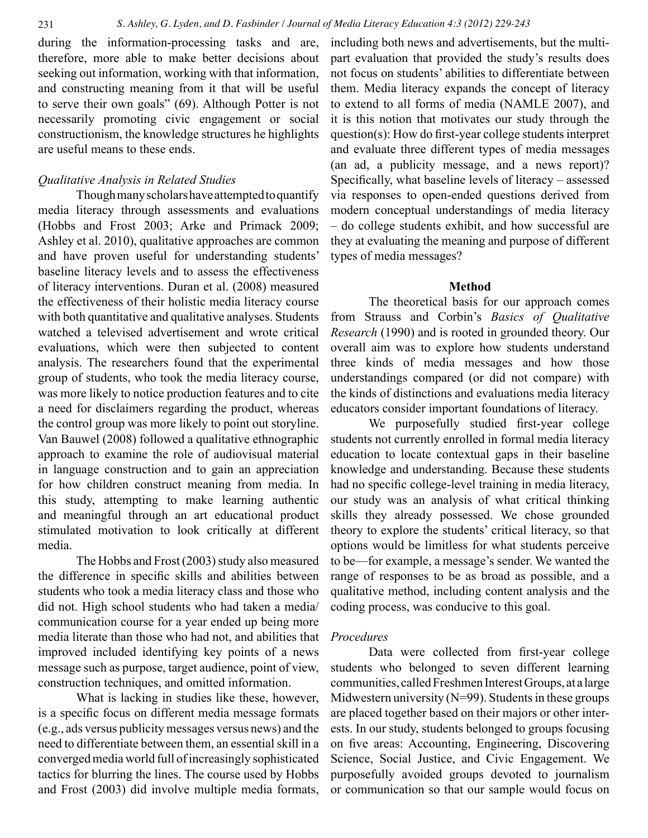during the information-processing tasks and are, therefore, more able to make better decisions about seeking out information, working with that information, and constructing meaning from it that will be useful to serve their own goals" (69). Although Potter is not necessarily promoting civic engagement or social constructionism, the knowledge structures he highlights are useful means to these ends.

#### *Qualitative Analysis in Related Studies*

Though many scholars have attempted to quantify media literacy through assessments and evaluations (Hobbs and Frost 2003; Arke and Primack 2009; Ashley et al. 2010), qualitative approaches are common and have proven useful for understanding students' baseline literacy levels and to assess the effectiveness of literacy interventions. Duran et al. (2008) measured the effectiveness of their holistic media literacy course with both quantitative and qualitative analyses. Students watched a televised advertisement and wrote critical evaluations, which were then subjected to content analysis. The researchers found that the experimental group of students, who took the media literacy course, was more likely to notice production features and to cite a need for disclaimers regarding the product, whereas the control group was more likely to point out storyline. Van Bauwel (2008) followed a qualitative ethnographic approach to examine the role of audiovisual material in language construction and to gain an appreciation for how children construct meaning from media. In this study, attempting to make learning authentic and meaningful through an art educational product stimulated motivation to look critically at different media.

The Hobbs and Frost (2003) study also measured the difference in specific skills and abilities between students who took a media literacy class and those who did not. High school students who had taken a media/ communication course for a year ended up being more media literate than those who had not, and abilities that improved included identifying key points of a news message such as purpose, target audience, point of view, construction techniques, and omitted information.

What is lacking in studies like these, however, is a specific focus on different media message formats (e.g., ads versus publicity messages versus news) and the need to differentiate between them, an essential skill in a converged media world full of increasingly sophisticated tactics for blurring the lines. The course used by Hobbs and Frost (2003) did involve multiple media formats, including both news and advertisements, but the multipart evaluation that provided the study's results does not focus on students' abilities to differentiate between them. Media literacy expands the concept of literacy to extend to all forms of media (NAMLE 2007), and it is this notion that motivates our study through the question(s): How do first-year college students interpret and evaluate three different types of media messages (an ad, a publicity message, and a news report)? Specifically, what baseline levels of literacy – assessed via responses to open-ended questions derived from modern conceptual understandings of media literacy – do college students exhibit, and how successful are they at evaluating the meaning and purpose of different types of media messages?

#### **Method**

The theoretical basis for our approach comes from Strauss and Corbin's *Basics of Qualitative Research* (1990) and is rooted in grounded theory. Our overall aim was to explore how students understand three kinds of media messages and how those understandings compared (or did not compare) with the kinds of distinctions and evaluations media literacy educators consider important foundations of literacy.

We purposefully studied first-year college students not currently enrolled in formal media literacy education to locate contextual gaps in their baseline knowledge and understanding. Because these students had no specific college-level training in media literacy, our study was an analysis of what critical thinking skills they already possessed. We chose grounded theory to explore the students' critical literacy, so that options would be limitless for what students perceive to be—for example, a message's sender. We wanted the range of responses to be as broad as possible, and a qualitative method, including content analysis and the coding process, was conducive to this goal.

#### *Procedures*

Data were collected from first-year college students who belonged to seven different learning communities, called Freshmen Interest Groups, at a large Midwestern university (N=99). Students in these groups are placed together based on their majors or other interests. In our study, students belonged to groups focusing on five areas: Accounting, Engineering, Discovering Science, Social Justice, and Civic Engagement. We purposefully avoided groups devoted to journalism or communication so that our sample would focus on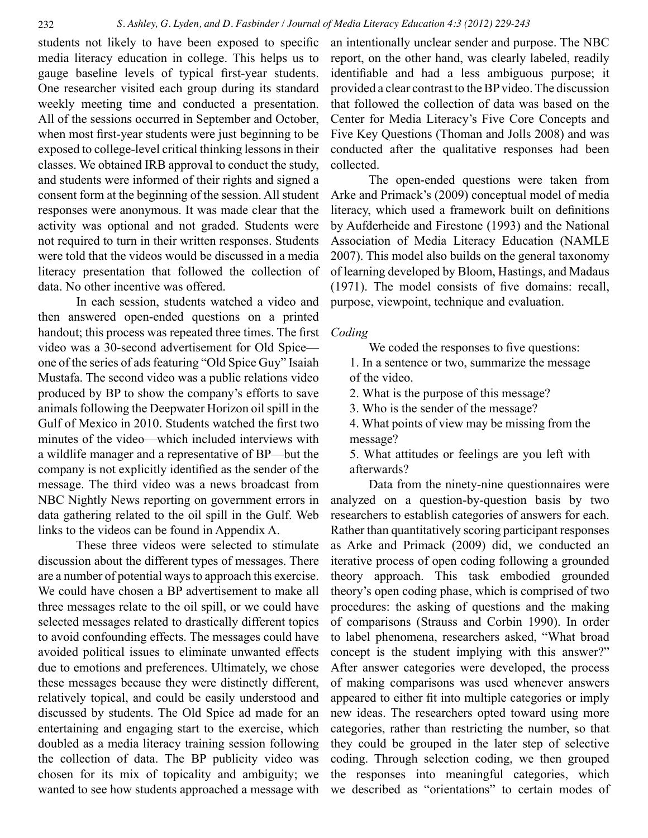students not likely to have been exposed to specific media literacy education in college. This helps us to gauge baseline levels of typical first-year students. One researcher visited each group during its standard weekly meeting time and conducted a presentation. All of the sessions occurred in September and October, when most first-year students were just beginning to be exposed to college-level critical thinking lessons in their classes. We obtained IRB approval to conduct the study, and students were informed of their rights and signed a consent form at the beginning of the session. All student responses were anonymous. It was made clear that the activity was optional and not graded. Students were not required to turn in their written responses. Students were told that the videos would be discussed in a media literacy presentation that followed the collection of data. No other incentive was offered.

In each session, students watched a video and then answered open-ended questions on a printed handout; this process was repeated three times. The first video was a 30-second advertisement for Old Spice one of the series of ads featuring "Old Spice Guy" Isaiah Mustafa. The second video was a public relations video produced by BP to show the company's efforts to save animals following the Deepwater Horizon oil spill in the Gulf of Mexico in 2010. Students watched the first two minutes of the video—which included interviews with a wildlife manager and a representative of BP—but the company is not explicitly identified as the sender of the message. The third video was a news broadcast from NBC Nightly News reporting on government errors in data gathering related to the oil spill in the Gulf. Web links to the videos can be found in Appendix A.

These three videos were selected to stimulate discussion about the different types of messages. There are a number of potential ways to approach this exercise. We could have chosen a BP advertisement to make all three messages relate to the oil spill, or we could have selected messages related to drastically different topics to avoid confounding effects. The messages could have avoided political issues to eliminate unwanted effects due to emotions and preferences. Ultimately, we chose these messages because they were distinctly different, relatively topical, and could be easily understood and discussed by students. The Old Spice ad made for an entertaining and engaging start to the exercise, which doubled as a media literacy training session following the collection of data. The BP publicity video was chosen for its mix of topicality and ambiguity; we wanted to see how students approached a message with an intentionally unclear sender and purpose. The NBC report, on the other hand, was clearly labeled, readily identifiable and had a less ambiguous purpose; it provided a clear contrast to the BP video. The discussion that followed the collection of data was based on the Center for Media Literacy's Five Core Concepts and Five Key Questions (Thoman and Jolls 2008) and was conducted after the qualitative responses had been collected.

The open-ended questions were taken from Arke and Primack's (2009) conceptual model of media literacy, which used a framework built on definitions by Aufderheide and Firestone (1993) and the National Association of Media Literacy Education (NAMLE 2007). This model also builds on the general taxonomy of learning developed by Bloom, Hastings, and Madaus (1971). The model consists of five domains: recall, purpose, viewpoint, technique and evaluation.

#### *Coding*

We coded the responses to five questions:

1. In a sentence or two, summarize the message of the video.

2. What is the purpose of this message?

3. Who is the sender of the message?

4. What points of view may be missing from the message?

5. What attitudes or feelings are you left with afterwards?

Data from the ninety-nine questionnaires were analyzed on a question-by-question basis by two researchers to establish categories of answers for each. Rather than quantitatively scoring participant responses as Arke and Primack (2009) did, we conducted an iterative process of open coding following a grounded theory approach. This task embodied grounded theory's open coding phase, which is comprised of two procedures: the asking of questions and the making of comparisons (Strauss and Corbin 1990). In order to label phenomena, researchers asked, "What broad concept is the student implying with this answer?" After answer categories were developed, the process of making comparisons was used whenever answers appeared to either fit into multiple categories or imply new ideas. The researchers opted toward using more categories, rather than restricting the number, so that they could be grouped in the later step of selective coding. Through selection coding, we then grouped the responses into meaningful categories, which we described as "orientations" to certain modes of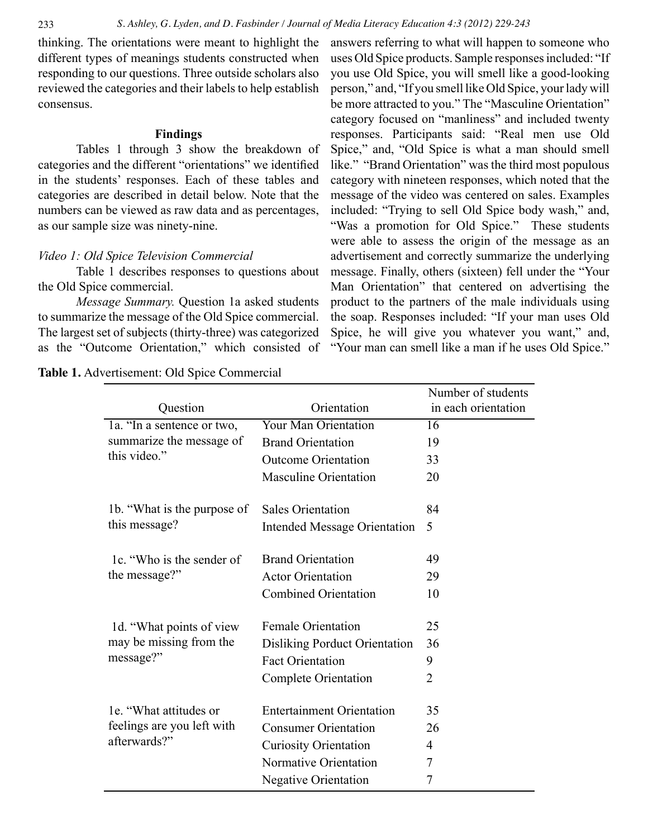thinking. The orientations were meant to highlight the different types of meanings students constructed when responding to our questions. Three outside scholars also reviewed the categories and their labels to help establish consensus.

#### **Findings**

Tables 1 through 3 show the breakdown of categories and the different "orientations" we identified in the students' responses. Each of these tables and categories are described in detail below. Note that the numbers can be viewed as raw data and as percentages, as our sample size was ninety-nine.

## *Video 1: Old Spice Television Commercial*

Table 1 describes responses to questions about the Old Spice commercial.

*Message Summary.* Question 1a asked students to summarize the message of the Old Spice commercial. The largest set of subjects (thirty-three) was categorized as the "Outcome Orientation," which consisted of

answers referring to what will happen to someone who uses Old Spice products. Sample responses included: "If you use Old Spice, you will smell like a good-looking person," and, "If you smell like Old Spice, your lady will be more attracted to you." The "Masculine Orientation" category focused on "manliness" and included twenty responses. Participants said: "Real men use Old Spice," and, "Old Spice is what a man should smell like." "Brand Orientation" was the third most populous category with nineteen responses, which noted that the message of the video was centered on sales. Examples included: "Trying to sell Old Spice body wash," and, "Was a promotion for Old Spice." These students were able to assess the origin of the message as an advertisement and correctly summarize the underlying message. Finally, others (sixteen) fell under the "Your Man Orientation" that centered on advertising the product to the partners of the male individuals using the soap. Responses included: "If your man uses Old Spice, he will give you whatever you want," and, "Your man can smell like a man if he uses Old Spice."

|                                                                        |                                      | Number of students  |
|------------------------------------------------------------------------|--------------------------------------|---------------------|
| Question                                                               | Orientation                          | in each orientation |
| 1a. "In a sentence or two,<br>summarize the message of<br>this video." | <b>Your Man Orientation</b>          | $\overline{16}$     |
|                                                                        | <b>Brand Orientation</b>             | 19                  |
|                                                                        | <b>Outcome Orientation</b>           | 33                  |
|                                                                        | <b>Masculine Orientation</b>         | 20                  |
|                                                                        |                                      |                     |
| 1b. "What is the purpose of                                            | <b>Sales Orientation</b>             | 84                  |
| this message?                                                          | <b>Intended Message Orientation</b>  | 5                   |
|                                                                        |                                      |                     |
| 1c. "Who is the sender of<br>the message?"                             | <b>Brand Orientation</b>             | 49                  |
|                                                                        | <b>Actor Orientation</b>             | 29                  |
|                                                                        | <b>Combined Orientation</b>          | 10                  |
|                                                                        | <b>Female Orientation</b>            |                     |
| 1d. "What points of view"<br>may be missing from the<br>message?"      |                                      | 25                  |
|                                                                        | <b>Disliking Porduct Orientation</b> | 36                  |
|                                                                        | <b>Fact Orientation</b>              | 9                   |
|                                                                        | <b>Complete Orientation</b>          | $\overline{2}$      |
|                                                                        |                                      |                     |
| 1e. "What attitudes or<br>feelings are you left with<br>afterwards?"   | <b>Entertainment Orientation</b>     | 35                  |
|                                                                        | <b>Consumer Orientation</b>          | 26                  |
|                                                                        | <b>Curiosity Orientation</b>         | 4                   |
|                                                                        | Normative Orientation                | 7                   |
|                                                                        | <b>Negative Orientation</b>          | 7                   |
|                                                                        |                                      |                     |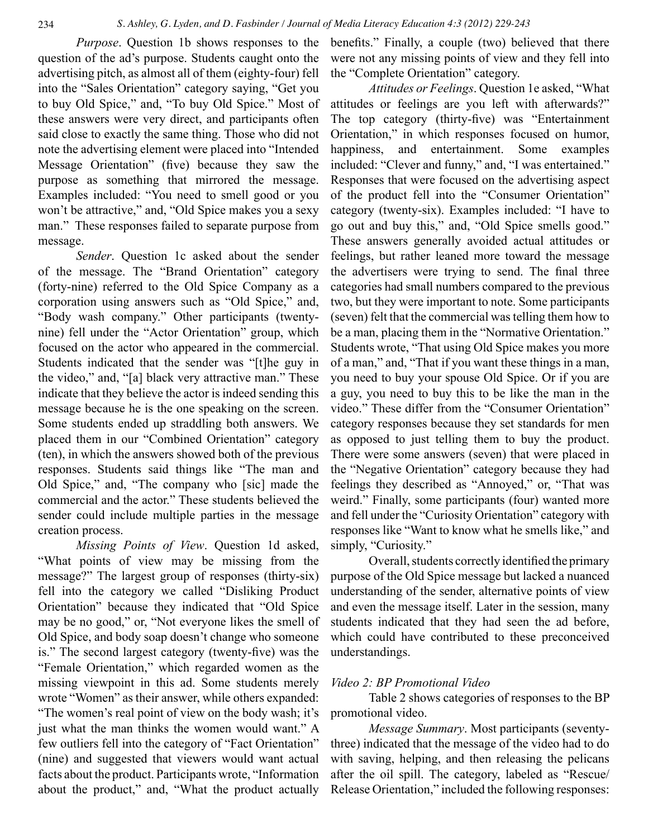*Purpose*. Question 1b shows responses to the question of the ad's purpose. Students caught onto the advertising pitch, as almost all of them (eighty-four) fell into the "Sales Orientation" category saying, "Get you to buy Old Spice," and, "To buy Old Spice." Most of these answers were very direct, and participants often said close to exactly the same thing. Those who did not note the advertising element were placed into "Intended Message Orientation" (five) because they saw the purpose as something that mirrored the message. Examples included: "You need to smell good or you won't be attractive," and, "Old Spice makes you a sexy man." These responses failed to separate purpose from message.

*Sender*. Question 1c asked about the sender of the message. The "Brand Orientation" category (forty-nine) referred to the Old Spice Company as a corporation using answers such as "Old Spice," and, "Body wash company." Other participants (twentynine) fell under the "Actor Orientation" group, which focused on the actor who appeared in the commercial. Students indicated that the sender was "[t]he guy in the video," and, "[a] black very attractive man." These indicate that they believe the actor is indeed sending this message because he is the one speaking on the screen. Some students ended up straddling both answers. We placed them in our "Combined Orientation" category (ten), in which the answers showed both of the previous responses. Students said things like "The man and Old Spice," and, "The company who [sic] made the commercial and the actor." These students believed the sender could include multiple parties in the message creation process.

*Missing Points of View*. Question 1d asked, "What points of view may be missing from the message?" The largest group of responses (thirty-six) fell into the category we called "Disliking Product Orientation" because they indicated that "Old Spice may be no good," or, "Not everyone likes the smell of Old Spice, and body soap doesn't change who someone is." The second largest category (twenty-five) was the "Female Orientation," which regarded women as the missing viewpoint in this ad. Some students merely wrote "Women" as their answer, while others expanded: "The women's real point of view on the body wash; it's just what the man thinks the women would want." A few outliers fell into the category of "Fact Orientation" (nine) and suggested that viewers would want actual facts about the product. Participants wrote, "Information about the product," and, "What the product actually benefits." Finally, a couple (two) believed that there were not any missing points of view and they fell into the "Complete Orientation" category.

*Attitudes or Feelings*. Question 1e asked, "What attitudes or feelings are you left with afterwards?" The top category (thirty-five) was "Entertainment Orientation," in which responses focused on humor, happiness, and entertainment. Some examples included: "Clever and funny," and, "I was entertained." Responses that were focused on the advertising aspect of the product fell into the "Consumer Orientation" category (twenty-six). Examples included: "I have to go out and buy this," and, "Old Spice smells good." These answers generally avoided actual attitudes or feelings, but rather leaned more toward the message the advertisers were trying to send. The final three categories had small numbers compared to the previous two, but they were important to note. Some participants (seven) felt that the commercial was telling them how to be a man, placing them in the "Normative Orientation." Students wrote, "That using Old Spice makes you more of a man," and, "That if you want these things in a man, you need to buy your spouse Old Spice. Or if you are a guy, you need to buy this to be like the man in the video." These differ from the "Consumer Orientation" category responses because they set standards for men as opposed to just telling them to buy the product. There were some answers (seven) that were placed in the "Negative Orientation" category because they had feelings they described as "Annoyed," or, "That was weird." Finally, some participants (four) wanted more and fell under the "Curiosity Orientation" category with responses like "Want to know what he smells like," and simply, "Curiosity."

Overall, students correctly identified the primary purpose of the Old Spice message but lacked a nuanced understanding of the sender, alternative points of view and even the message itself. Later in the session, many students indicated that they had seen the ad before, which could have contributed to these preconceived understandings.

#### *Video 2: BP Promotional Video*

Table 2 shows categories of responses to the BP promotional video.

*Message Summary*. Most participants (seventythree) indicated that the message of the video had to do with saving, helping, and then releasing the pelicans after the oil spill. The category, labeled as "Rescue/ Release Orientation," included the following responses: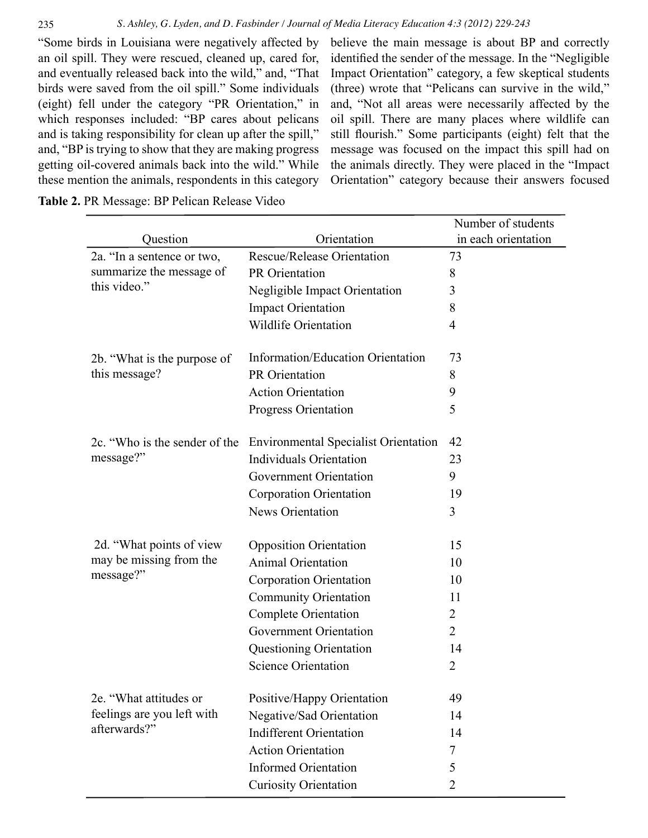"Some birds in Louisiana were negatively affected by an oil spill. They were rescued, cleaned up, cared for, and eventually released back into the wild," and, "That birds were saved from the oil spill." Some individuals (eight) fell under the category "PR Orientation," in which responses included: "BP cares about pelicans and is taking responsibility for clean up after the spill," and, "BP is trying to show that they are making progress getting oil-covered animals back into the wild." While these mention the animals, respondents in this category

believe the main message is about BP and correctly identified the sender of the message. In the "Negligible Impact Orientation" category, a few skeptical students (three) wrote that "Pelicans can survive in the wild," and, "Not all areas were necessarily affected by the oil spill. There are many places where wildlife can still flourish." Some participants (eight) felt that the message was focused on the impact this spill had on the animals directly. They were placed in the "Impact Orientation" category because their answers focused

**Table 2.** PR Message: BP Pelican Release Video

|                                                                        |                                             | Number of students  |
|------------------------------------------------------------------------|---------------------------------------------|---------------------|
| Question                                                               | Orientation                                 | in each orientation |
| 2a. "In a sentence or two,<br>summarize the message of<br>this video." | Rescue/Release Orientation                  | 73                  |
|                                                                        | PR Orientation                              | 8                   |
|                                                                        | Negligible Impact Orientation               | 3                   |
|                                                                        | <b>Impact Orientation</b>                   | 8                   |
|                                                                        | <b>Wildlife Orientation</b>                 | 4                   |
| 2b. "What is the purpose of<br>this message?                           | Information/Education Orientation           | 73                  |
|                                                                        | PR Orientation                              | 8                   |
|                                                                        | <b>Action Orientation</b>                   | 9                   |
|                                                                        |                                             | 5                   |
|                                                                        | <b>Progress Orientation</b>                 |                     |
| 2c. "Who is the sender of the                                          | <b>Environmental Specialist Orientation</b> | 42                  |
| message?"                                                              | <b>Individuals Orientation</b>              | 23                  |
|                                                                        | <b>Government Orientation</b>               | 9                   |
|                                                                        | <b>Corporation Orientation</b>              | 19                  |
|                                                                        | News Orientation                            | 3                   |
|                                                                        |                                             |                     |
| 2d. "What points of view"                                              | <b>Opposition Orientation</b>               | 15                  |
| may be missing from the<br>message?"                                   | <b>Animal Orientation</b>                   | 10                  |
|                                                                        | Corporation Orientation                     | 10                  |
|                                                                        | <b>Community Orientation</b>                | 11                  |
|                                                                        | <b>Complete Orientation</b>                 | 2                   |
|                                                                        | <b>Government Orientation</b>               | 2                   |
|                                                                        | Questioning Orientation                     | 14                  |
|                                                                        | <b>Science Orientation</b>                  | $\overline{2}$      |
| 2e. "What attitudes or<br>feelings are you left with<br>afterwards?"   | Positive/Happy Orientation                  | 49                  |
|                                                                        | Negative/Sad Orientation                    | 14                  |
|                                                                        | <b>Indifferent Orientation</b>              | 14                  |
|                                                                        | <b>Action Orientation</b>                   | 7                   |
|                                                                        | <b>Informed Orientation</b>                 | 5                   |
|                                                                        | <b>Curiosity Orientation</b>                | 2                   |
|                                                                        |                                             |                     |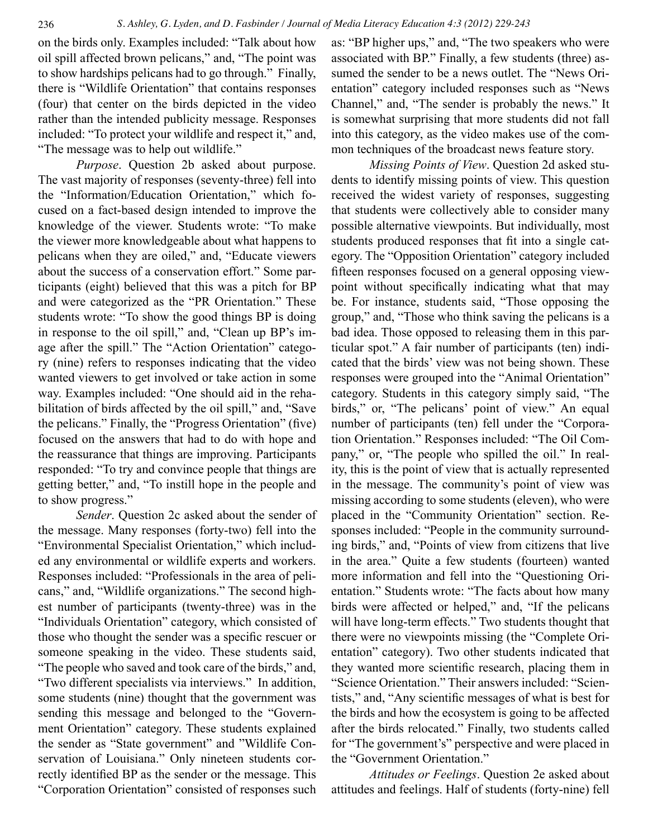on the birds only. Examples included: "Talk about how oil spill affected brown pelicans," and, "The point was to show hardships pelicans had to go through." Finally, there is "Wildlife Orientation" that contains responses (four) that center on the birds depicted in the video rather than the intended publicity message. Responses included: "To protect your wildlife and respect it," and, "The message was to help out wildlife."

*Purpose*. Question 2b asked about purpose. The vast majority of responses (seventy-three) fell into the "Information/Education Orientation," which focused on a fact-based design intended to improve the knowledge of the viewer. Students wrote: "To make the viewer more knowledgeable about what happens to pelicans when they are oiled," and, "Educate viewers about the success of a conservation effort." Some participants (eight) believed that this was a pitch for BP and were categorized as the "PR Orientation." These students wrote: "To show the good things BP is doing in response to the oil spill," and, "Clean up BP's image after the spill." The "Action Orientation" category (nine) refers to responses indicating that the video wanted viewers to get involved or take action in some way. Examples included: "One should aid in the rehabilitation of birds affected by the oil spill," and, "Save the pelicans." Finally, the "Progress Orientation" (five) focused on the answers that had to do with hope and the reassurance that things are improving. Participants responded: "To try and convince people that things are getting better," and, "To instill hope in the people and to show progress."

*Sender*. Question 2c asked about the sender of the message. Many responses (forty-two) fell into the "Environmental Specialist Orientation," which included any environmental or wildlife experts and workers. Responses included: "Professionals in the area of pelicans," and, "Wildlife organizations." The second highest number of participants (twenty-three) was in the "Individuals Orientation" category, which consisted of those who thought the sender was a specific rescuer or someone speaking in the video. These students said, "The people who saved and took care of the birds," and, "Two different specialists via interviews." In addition, some students (nine) thought that the government was sending this message and belonged to the "Government Orientation" category. These students explained the sender as "State government" and "Wildlife Conservation of Louisiana." Only nineteen students correctly identified BP as the sender or the message. This "Corporation Orientation" consisted of responses such

as: "BP higher ups," and, "The two speakers who were associated with BP." Finally, a few students (three) assumed the sender to be a news outlet. The "News Orientation" category included responses such as "News Channel," and, "The sender is probably the news." It is somewhat surprising that more students did not fall into this category, as the video makes use of the common techniques of the broadcast news feature story.

*Missing Points of View*. Question 2d asked students to identify missing points of view. This question received the widest variety of responses, suggesting that students were collectively able to consider many possible alternative viewpoints. But individually, most students produced responses that fit into a single category. The "Opposition Orientation" category included fifteen responses focused on a general opposing viewpoint without specifically indicating what that may be. For instance, students said, "Those opposing the group," and, "Those who think saving the pelicans is a bad idea. Those opposed to releasing them in this particular spot." A fair number of participants (ten) indicated that the birds' view was not being shown. These responses were grouped into the "Animal Orientation" category. Students in this category simply said, "The birds," or, "The pelicans' point of view." An equal number of participants (ten) fell under the "Corporation Orientation." Responses included: "The Oil Company," or, "The people who spilled the oil." In reality, this is the point of view that is actually represented in the message. The community's point of view was missing according to some students (eleven), who were placed in the "Community Orientation" section. Responses included: "People in the community surrounding birds," and, "Points of view from citizens that live in the area." Quite a few students (fourteen) wanted more information and fell into the "Questioning Orientation." Students wrote: "The facts about how many birds were affected or helped," and, "If the pelicans will have long-term effects." Two students thought that there were no viewpoints missing (the "Complete Orientation" category). Two other students indicated that they wanted more scientific research, placing them in "Science Orientation." Their answers included: "Scientists," and, "Any scientific messages of what is best for the birds and how the ecosystem is going to be affected after the birds relocated." Finally, two students called for "The government's" perspective and were placed in the "Government Orientation."

*Attitudes or Feelings*. Question 2e asked about attitudes and feelings. Half of students (forty-nine) fell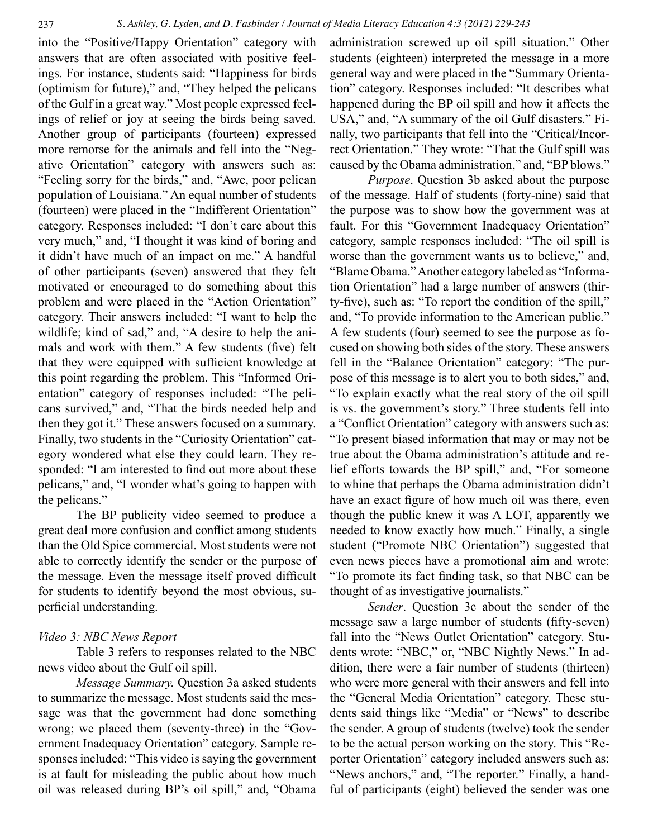into the "Positive/Happy Orientation" category with answers that are often associated with positive feelings. For instance, students said: "Happiness for birds (optimism for future)," and, "They helped the pelicans of the Gulf in a great way." Most people expressed feelings of relief or joy at seeing the birds being saved. Another group of participants (fourteen) expressed more remorse for the animals and fell into the "Negative Orientation" category with answers such as: "Feeling sorry for the birds," and, "Awe, poor pelican population of Louisiana." An equal number of students (fourteen) were placed in the "Indifferent Orientation" category. Responses included: "I don't care about this very much," and, "I thought it was kind of boring and it didn't have much of an impact on me." A handful of other participants (seven) answered that they felt motivated or encouraged to do something about this problem and were placed in the "Action Orientation" category. Their answers included: "I want to help the wildlife; kind of sad," and, "A desire to help the animals and work with them." A few students (five) felt that they were equipped with sufficient knowledge at this point regarding the problem. This "Informed Orientation" category of responses included: "The pelicans survived," and, "That the birds needed help and then they got it." These answers focused on a summary. Finally, two students in the "Curiosity Orientation" category wondered what else they could learn. They responded: "I am interested to find out more about these pelicans," and, "I wonder what's going to happen with the pelicans."

The BP publicity video seemed to produce a great deal more confusion and conflict among students than the Old Spice commercial. Most students were not able to correctly identify the sender or the purpose of the message. Even the message itself proved difficult for students to identify beyond the most obvious, superficial understanding.

## *Video 3: NBC News Report*

Table 3 refers to responses related to the NBC news video about the Gulf oil spill.

*Message Summary.* Question 3a asked students to summarize the message. Most students said the message was that the government had done something wrong; we placed them (seventy-three) in the "Government Inadequacy Orientation" category. Sample responses included: "This video is saying the government is at fault for misleading the public about how much oil was released during BP's oil spill," and, "Obama administration screwed up oil spill situation." Other students (eighteen) interpreted the message in a more general way and were placed in the "Summary Orientation" category. Responses included: "It describes what happened during the BP oil spill and how it affects the USA," and, "A summary of the oil Gulf disasters." Finally, two participants that fell into the "Critical/Incorrect Orientation." They wrote: "That the Gulf spill was caused by the Obama administration," and, "BP blows."

*Purpose*. Question 3b asked about the purpose of the message. Half of students (forty-nine) said that the purpose was to show how the government was at fault. For this "Government Inadequacy Orientation" category, sample responses included: "The oil spill is worse than the government wants us to believe," and, "Blame Obama." Another category labeled as "Information Orientation" had a large number of answers (thirty-five), such as: "To report the condition of the spill," and, "To provide information to the American public." A few students (four) seemed to see the purpose as focused on showing both sides of the story. These answers fell in the "Balance Orientation" category: "The purpose of this message is to alert you to both sides," and, "To explain exactly what the real story of the oil spill is vs. the government's story." Three students fell into a "Conflict Orientation" category with answers such as: "To present biased information that may or may not be true about the Obama administration's attitude and relief efforts towards the BP spill," and, "For someone to whine that perhaps the Obama administration didn't have an exact figure of how much oil was there, even though the public knew it was A LOT, apparently we needed to know exactly how much." Finally, a single student ("Promote NBC Orientation") suggested that even news pieces have a promotional aim and wrote: "To promote its fact finding task, so that NBC can be thought of as investigative journalists."

*Sender*. Question 3c about the sender of the message saw a large number of students (fifty-seven) fall into the "News Outlet Orientation" category. Students wrote: "NBC," or, "NBC Nightly News." In addition, there were a fair number of students (thirteen) who were more general with their answers and fell into the "General Media Orientation" category. These students said things like "Media" or "News" to describe the sender. A group of students (twelve) took the sender to be the actual person working on the story. This "Reporter Orientation" category included answers such as: "News anchors," and, "The reporter." Finally, a handful of participants (eight) believed the sender was one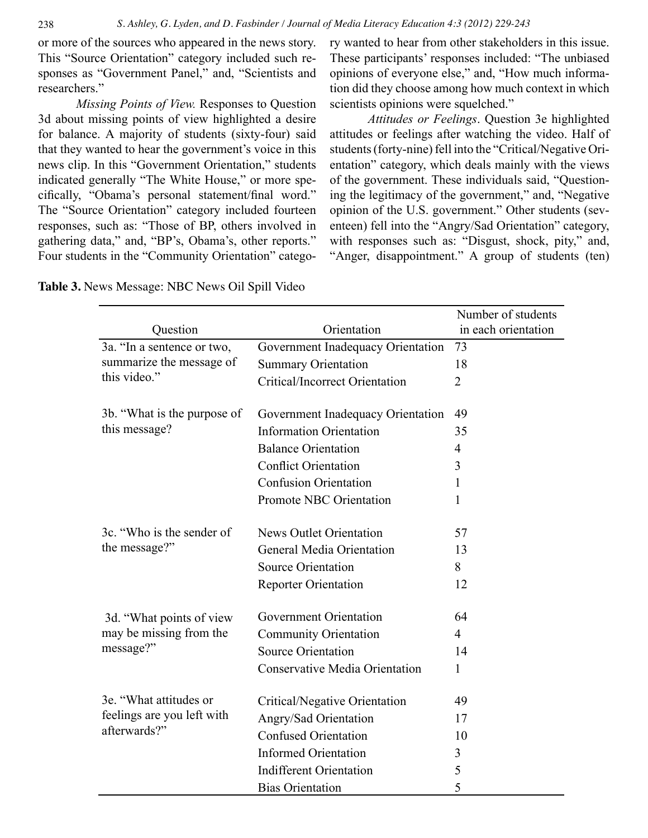or more of the sources who appeared in the news story. This "Source Orientation" category included such responses as "Government Panel," and, "Scientists and researchers."

*Missing Points of View.* Responses to Question 3d about missing points of view highlighted a desire for balance. A majority of students (sixty-four) said that they wanted to hear the government's voice in this news clip. In this "Government Orientation," students indicated generally "The White House," or more specifically, "Obama's personal statement/final word." The "Source Orientation" category included fourteen responses, such as: "Those of BP, others involved in gathering data," and, "BP's, Obama's, other reports." Four students in the "Community Orientation" category wanted to hear from other stakeholders in this issue. These participants' responses included: "The unbiased opinions of everyone else," and, "How much information did they choose among how much context in which scientists opinions were squelched."

*Attitudes or Feelings*. Question 3e highlighted attitudes or feelings after watching the video. Half of students (forty-nine) fell into the "Critical/Negative Orientation" category, which deals mainly with the views of the government. These individuals said, "Questioning the legitimacy of the government," and, "Negative opinion of the U.S. government." Other students (seventeen) fell into the "Angry/Sad Orientation" category, with responses such as: "Disgust, shock, pity," and, "Anger, disappointment." A group of students (ten)

|                                                                        |                                       | Number of students  |
|------------------------------------------------------------------------|---------------------------------------|---------------------|
| Question                                                               | Orientation                           | in each orientation |
| 3a. "In a sentence or two,<br>summarize the message of<br>this video." | Government Inadequacy Orientation     | 73                  |
|                                                                        | <b>Summary Orientation</b>            | 18                  |
|                                                                        | <b>Critical/Incorrect Orientation</b> | $\overline{2}$      |
| 3b. "What is the purpose of<br>this message?                           | Government Inadequacy Orientation     | 49                  |
|                                                                        | <b>Information Orientation</b>        | 35                  |
|                                                                        | <b>Balance Orientation</b>            | $\overline{4}$      |
|                                                                        | <b>Conflict Orientation</b>           | 3                   |
|                                                                        | <b>Confusion Orientation</b>          | 1                   |
|                                                                        | Promote NBC Orientation               | 1                   |
| 3c. "Who is the sender of<br>the message?"                             | <b>News Outlet Orientation</b>        | 57                  |
|                                                                        | General Media Orientation             | 13                  |
|                                                                        | Source Orientation                    | 8                   |
|                                                                        | <b>Reporter Orientation</b>           | 12                  |
| 3d. "What points of view<br>may be missing from the<br>message?"       | Government Orientation                | 64                  |
|                                                                        | <b>Community Orientation</b>          | $\overline{4}$      |
|                                                                        | <b>Source Orientation</b>             | 14                  |
|                                                                        | <b>Conservative Media Orientation</b> | 1                   |
| 3e. "What attitudes or<br>feelings are you left with<br>afterwards?"   | Critical/Negative Orientation         | 49                  |
|                                                                        | Angry/Sad Orientation                 | 17                  |
|                                                                        | <b>Confused Orientation</b>           | 10                  |
|                                                                        | <b>Informed Orientation</b>           | 3                   |
|                                                                        | <b>Indifferent Orientation</b>        | 5                   |
|                                                                        | <b>Bias Orientation</b>               | 5                   |

**Table 3.** News Message: NBC News Oil Spill Video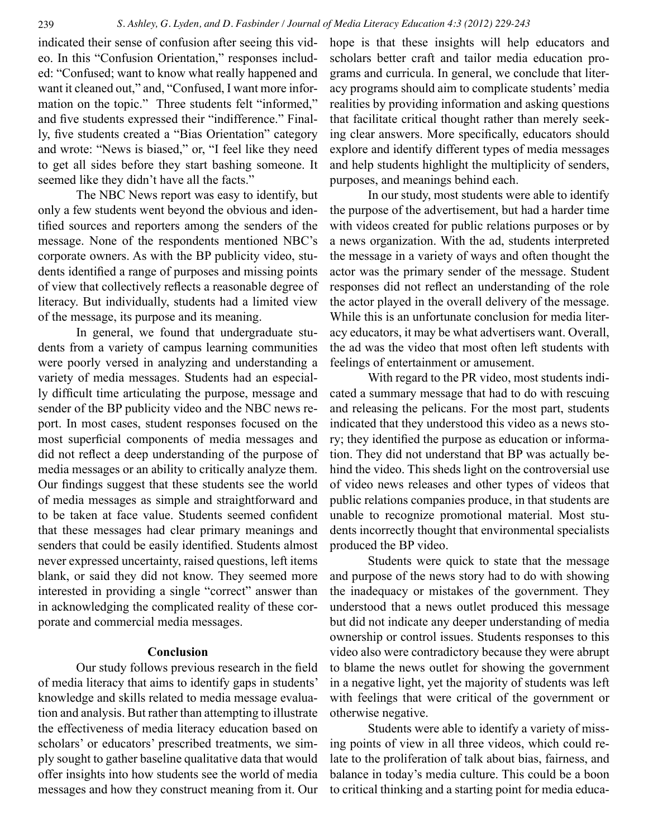indicated their sense of confusion after seeing this video. In this "Confusion Orientation," responses included: "Confused; want to know what really happened and want it cleaned out," and, "Confused, I want more information on the topic." Three students felt "informed," and five students expressed their "indifference." Finally, five students created a "Bias Orientation" category and wrote: "News is biased," or, "I feel like they need to get all sides before they start bashing someone. It seemed like they didn't have all the facts."

The NBC News report was easy to identify, but only a few students went beyond the obvious and identified sources and reporters among the senders of the message. None of the respondents mentioned NBC's corporate owners. As with the BP publicity video, students identified a range of purposes and missing points of view that collectively reflects a reasonable degree of literacy. But individually, students had a limited view of the message, its purpose and its meaning.

In general, we found that undergraduate students from a variety of campus learning communities were poorly versed in analyzing and understanding a variety of media messages. Students had an especially difficult time articulating the purpose, message and sender of the BP publicity video and the NBC news report. In most cases, student responses focused on the most superficial components of media messages and did not reflect a deep understanding of the purpose of media messages or an ability to critically analyze them. Our findings suggest that these students see the world of media messages as simple and straightforward and to be taken at face value. Students seemed confident that these messages had clear primary meanings and senders that could be easily identified. Students almost never expressed uncertainty, raised questions, left items blank, or said they did not know. They seemed more interested in providing a single "correct" answer than in acknowledging the complicated reality of these corporate and commercial media messages.

## **Conclusion**

Our study follows previous research in the field of media literacy that aims to identify gaps in students' knowledge and skills related to media message evaluation and analysis. But rather than attempting to illustrate the effectiveness of media literacy education based on scholars' or educators' prescribed treatments, we simply sought to gather baseline qualitative data that would offer insights into how students see the world of media messages and how they construct meaning from it. Our hope is that these insights will help educators and scholars better craft and tailor media education programs and curricula. In general, we conclude that literacy programs should aim to complicate students' media realities by providing information and asking questions that facilitate critical thought rather than merely seeking clear answers. More specifically, educators should explore and identify different types of media messages and help students highlight the multiplicity of senders, purposes, and meanings behind each.

In our study, most students were able to identify the purpose of the advertisement, but had a harder time with videos created for public relations purposes or by a news organization. With the ad, students interpreted the message in a variety of ways and often thought the actor was the primary sender of the message. Student responses did not reflect an understanding of the role the actor played in the overall delivery of the message. While this is an unfortunate conclusion for media literacy educators, it may be what advertisers want. Overall, the ad was the video that most often left students with feelings of entertainment or amusement.

With regard to the PR video, most students indicated a summary message that had to do with rescuing and releasing the pelicans. For the most part, students indicated that they understood this video as a news story; they identified the purpose as education or information. They did not understand that BP was actually behind the video. This sheds light on the controversial use of video news releases and other types of videos that public relations companies produce, in that students are unable to recognize promotional material. Most students incorrectly thought that environmental specialists produced the BP video.

Students were quick to state that the message and purpose of the news story had to do with showing the inadequacy or mistakes of the government. They understood that a news outlet produced this message but did not indicate any deeper understanding of media ownership or control issues. Students responses to this video also were contradictory because they were abrupt to blame the news outlet for showing the government in a negative light, yet the majority of students was left with feelings that were critical of the government or otherwise negative.

Students were able to identify a variety of missing points of view in all three videos, which could relate to the proliferation of talk about bias, fairness, and balance in today's media culture. This could be a boon to critical thinking and a starting point for media educa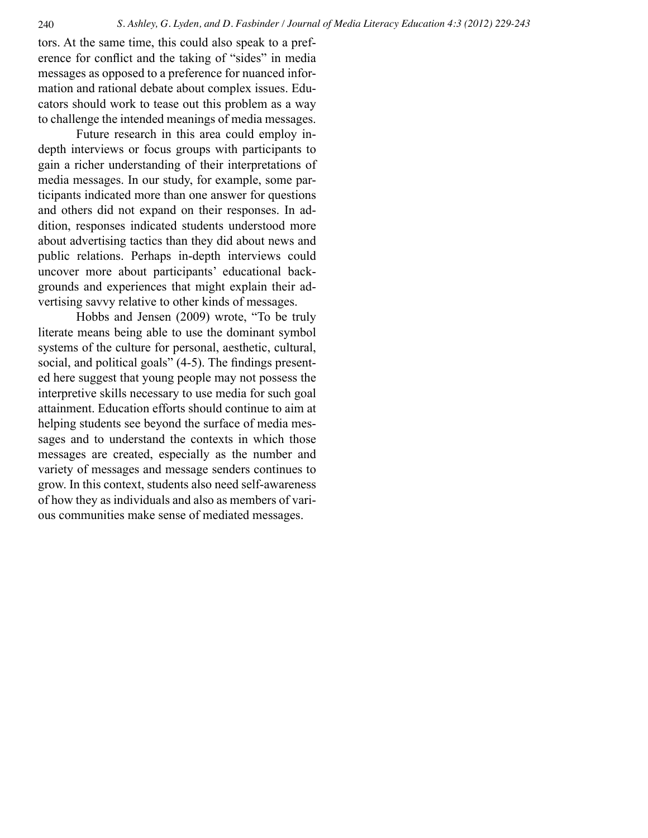tors. At the same time, this could also speak to a preference for conflict and the taking of "sides" in media messages as opposed to a preference for nuanced information and rational debate about complex issues. Educators should work to tease out this problem as a way to challenge the intended meanings of media messages.

Future research in this area could employ indepth interviews or focus groups with participants to gain a richer understanding of their interpretations of media messages. In our study, for example, some participants indicated more than one answer for questions and others did not expand on their responses. In addition, responses indicated students understood more about advertising tactics than they did about news and public relations. Perhaps in-depth interviews could uncover more about participants' educational backgrounds and experiences that might explain their advertising savvy relative to other kinds of messages.

Hobbs and Jensen (2009) wrote, "To be truly literate means being able to use the dominant symbol systems of the culture for personal, aesthetic, cultural, social, and political goals" (4-5). The findings presented here suggest that young people may not possess the interpretive skills necessary to use media for such goal attainment. Education efforts should continue to aim at helping students see beyond the surface of media messages and to understand the contexts in which those messages are created, especially as the number and variety of messages and message senders continues to grow. In this context, students also need self-awareness of how they as individuals and also as members of various communities make sense of mediated messages.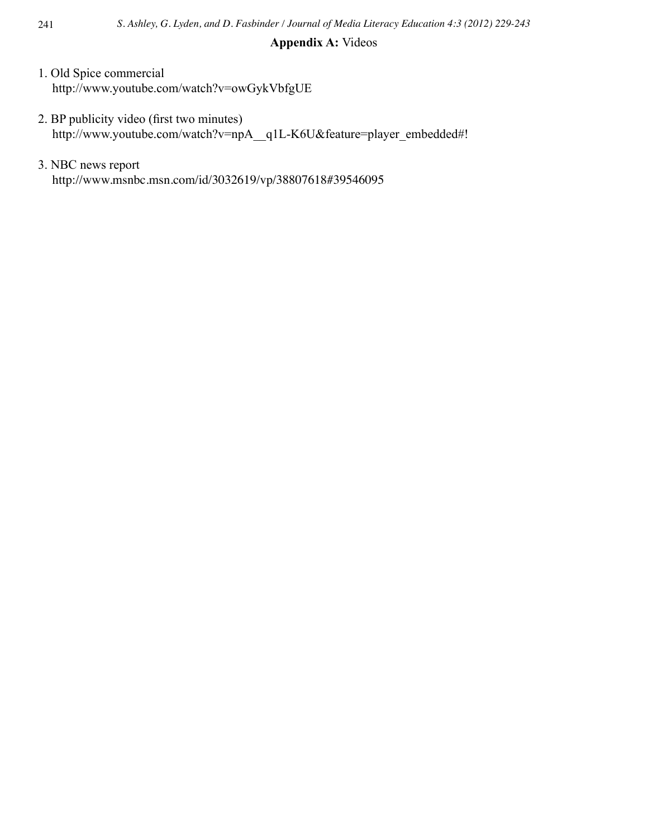## **Appendix A:** Videos

- 1. Old Spice commercial http://www.youtube.com/watch?v=owGykVbfgUE
- 2. BP publicity video (first two minutes) http://www.youtube.com/watch?v=npA\_q1L-K6U&feature=player\_embedded#!
- 3. NBC news report http://www.msnbc.msn.com/id/3032619/vp/38807618#39546095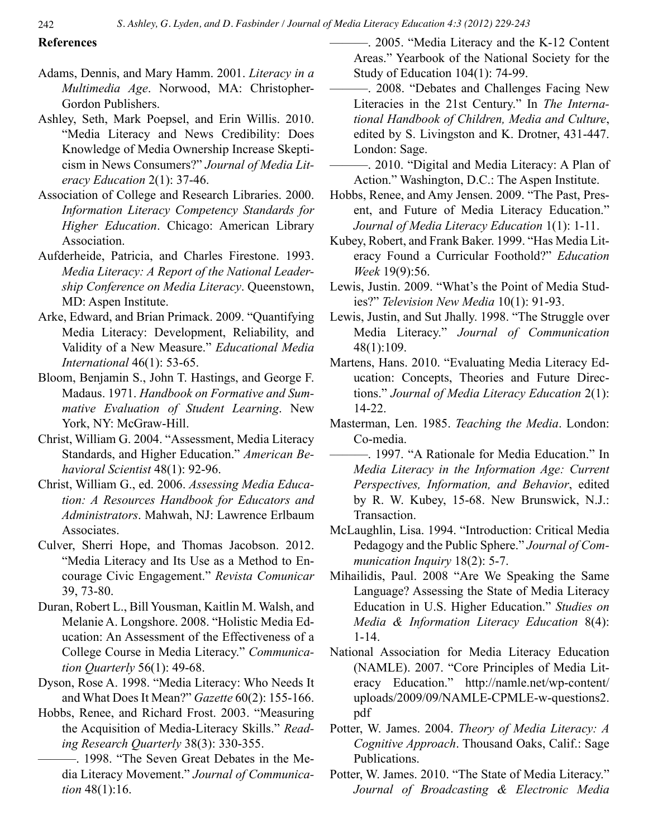242 *S. Ashley, G. Lyden, and D. Fasbinder / Journal of Media Literacy Education 4:3 (2012) 229-243*

## **References**

- Adams, Dennis, and Mary Hamm. 2001. *Literacy in a Multimedia Age*. Norwood, MA: Christopher-Gordon Publishers.
- Ashley, Seth, Mark Poepsel, and Erin Willis. 2010. "Media Literacy and News Credibility: Does Knowledge of Media Ownership Increase Skepticism in News Consumers?" *Journal of Media Literacy Education* 2(1): 37-46.
- Association of College and Research Libraries. 2000. *Information Literacy Competency Standards for Higher Education*. Chicago: American Library Association.
- Aufderheide, Patricia, and Charles Firestone. 1993. *Media Literacy: A Report of the National Leadership Conference on Media Literacy*. Queenstown, MD: Aspen Institute.
- Arke, Edward, and Brian Primack. 2009. "Quantifying Media Literacy: Development, Reliability, and Validity of a New Measure." *Educational Media International* 46(1): 53-65.
- Bloom, Benjamin S., John T. Hastings, and George F. Madaus. 1971. *Handbook on Formative and Summative Evaluation of Student Learning*. New York, NY: McGraw-Hill.
- Christ, William G. 2004. "Assessment, Media Literacy Standards, and Higher Education." *American Behavioral Scientist* 48(1): 92-96.
- Christ, William G., ed. 2006. *Assessing Media Education: A Resources Handbook for Educators and Administrators*. Mahwah, NJ: Lawrence Erlbaum Associates.
- Culver, Sherri Hope, and Thomas Jacobson. 2012. "Media Literacy and Its Use as a Method to Encourage Civic Engagement." *Revista Comunicar* 39, 73-80.
- Duran, Robert L., Bill Yousman, Kaitlin M. Walsh, and Melanie A. Longshore. 2008. "Holistic Media Education: An Assessment of the Effectiveness of a College Course in Media Literacy." *Communication Quarterly* 56(1): 49-68.
- Dyson, Rose A. 1998. "Media Literacy: Who Needs It and What Does It Mean?" *Gazette* 60(2): 155-166.
- Hobbs, Renee, and Richard Frost. 2003. "Measuring the Acquisition of Media-Literacy Skills." *Reading Research Quarterly* 38(3): 330-355.
	- ———. 1998. "The Seven Great Debates in the Media Literacy Movement." *Journal of Communication* 48(1):16.

———. 2005. "Media Literacy and the K-12 Content Areas." Yearbook of the National Society for the Study of Education 104(1): 74-99.

- ———. 2008. "Debates and Challenges Facing New Literacies in the 21st Century." In *The International Handbook of Children, Media and Culture*, edited by S. Livingston and K. Drotner, 431-447. London: Sage.
- ———. 2010. "Digital and Media Literacy: A Plan of Action." Washington, D.C.: The Aspen Institute.
- Hobbs, Renee, and Amy Jensen. 2009. "The Past, Present, and Future of Media Literacy Education." *Journal of Media Literacy Education* 1(1): 1-11.
- Kubey, Robert, and Frank Baker. 1999. "Has Media Literacy Found a Curricular Foothold?" *Education Week* 19(9):56.
- Lewis, Justin. 2009. "What's the Point of Media Studies?" *Television New Media* 10(1): 91-93.
- Lewis, Justin, and Sut Jhally. 1998. "The Struggle over Media Literacy." *Journal of Communication* 48(1):109.
- Martens, Hans. 2010. "Evaluating Media Literacy Education: Concepts, Theories and Future Directions." *Journal of Media Literacy Education* 2(1): 14-22.
- Masterman, Len. 1985. *Teaching the Media*. London: Co-media.
- ––––––. 1997. "A Rationale for Media Education." In *Media Literacy in the Information Age: Current Perspectives, Information, and Behavior*, edited by R. W. Kubey, 15-68. New Brunswick, N.J.: Transaction.
- McLaughlin, Lisa. 1994. "Introduction: Critical Media Pedagogy and the Public Sphere." *Journal of Communication Inquiry* 18(2): 5-7.
- Mihailidis, Paul. 2008 "Are We Speaking the Same Language? Assessing the State of Media Literacy Education in U.S. Higher Education." *Studies on Media & Information Literacy Education* 8(4): 1-14.
- National Association for Media Literacy Education (NAMLE). 2007. "Core Principles of Media Literacy Education." http://namle.net/wp-content/ uploads/2009/09/NAMLE-CPMLE-w-questions2. pdf
- Potter, W. James. 2004. *Theory of Media Literacy: A Cognitive Approach*. Thousand Oaks, Calif.: Sage Publications.
- Potter, W. James. 2010. "The State of Media Literacy." *Journal of Broadcasting & Electronic Media*